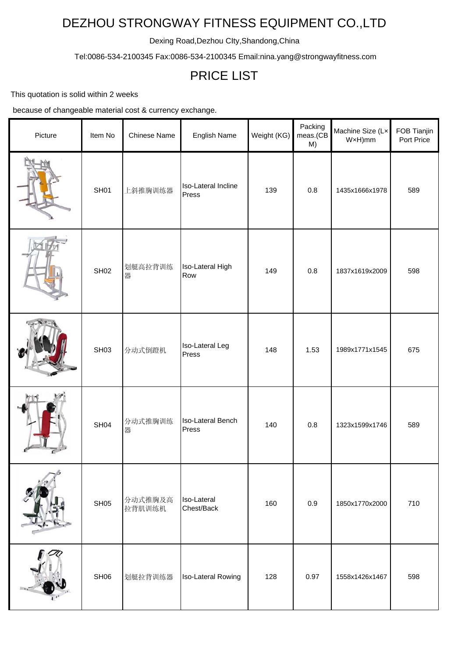## DEZHOU STRONGWAY FITNESS EQUIPMENT CO.,LTD

Dexing Road,Dezhou CIty,Shandong,China

Tel:0086-534-2100345 Fax:0086-534-2100345 Email:nina.yang@strongwayfitness.com

## PRICE LIST

This quotation is solid within 2 weeks

because of changeable material cost & currency exchange.

| Picture | Item No          | <b>Chinese Name</b> | English Name                    | Weight (KG) | Packing<br>meas.(CB<br>M) | Machine Size (Lx<br>WxH)mm | FOB Tianjin<br>Port Price |
|---------|------------------|---------------------|---------------------------------|-------------|---------------------------|----------------------------|---------------------------|
|         | SH <sub>01</sub> | 上斜推胸训练器             | Iso-Lateral Incline<br>Press    | 139         | 0.8                       | 1435x1666x1978             | 589                       |
|         | <b>SH02</b>      | 划艇高拉背训练<br>器        | Iso-Lateral High<br>Row         | 149         | 0.8                       | 1837x1619x2009             | 598                       |
|         | SH <sub>03</sub> | 分动式倒蹬机              | <b>Iso-Lateral Leg</b><br>Press | 148         | 1.53                      | 1989x1771x1545             | 675                       |
|         | <b>SH04</b>      | 分动式推胸训练<br>器        | Iso-Lateral Bench<br>Press      | 140         | 0.8                       | 1323x1599x1746             | 589                       |
|         | SH <sub>05</sub> | 分动式推胸及高<br>拉背肌训练机   | Iso-Lateral<br>Chest/Back       | 160         | 0.9                       | 1850x1770x2000             | 710                       |
|         | SH <sub>06</sub> | 划艇拉背训练器             | Iso-Lateral Rowing              | 128         | 0.97                      | 1558x1426x1467             | 598                       |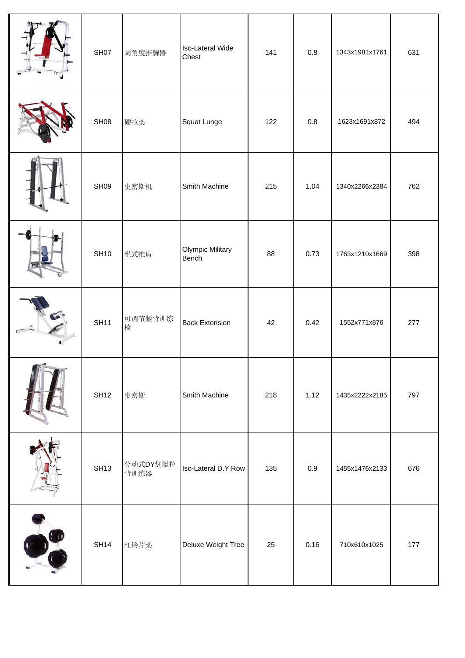|             | SH07             | 阔角度推胸器           | Iso-Lateral Wide<br>Chest        | 141 | $0.8\,$ | 1343x1981x1761 | 631 |
|-------------|------------------|------------------|----------------------------------|-----|---------|----------------|-----|
|             | SHO8             | 硬拉架              | Squat Lunge                      | 122 | $0.8\,$ | 1623x1691x872  | 494 |
|             | SH <sub>09</sub> | 史密斯机             | Smith Machine                    | 215 | 1.04    | 1340x2266x2384 | 762 |
|             | <b>SH10</b>      | 坐式推肩             | <b>Olympic Military</b><br>Bench | 88  | 0.73    | 1763x1210x1669 | 398 |
|             | <b>SH11</b>      | 可调节腰背训练<br>椅     | <b>Back Extension</b>            | 42  | 0.42    | 1552x771x876   | 277 |
| and a state | <b>SH12</b>      | 史密斯              | Smith Machine                    | 218 | 1.12    | 1435x2222x2185 | 797 |
|             | <b>SH13</b>      | 分动式DY划艇拉<br>背训练器 | Iso-Lateral D.Y.Row              | 135 | 0.9     | 1455x1476x2133 | 676 |
|             | <b>SH14</b>      | 杠铃片架             | Deluxe Weight Tree               | 25  | 0.16    | 710x610x1025   | 177 |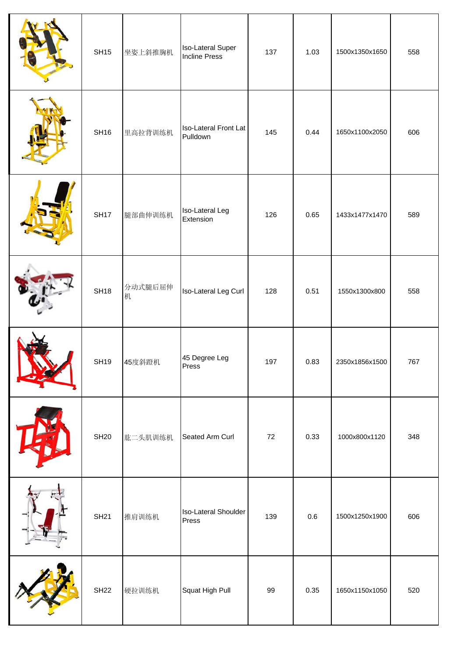| <b>SH15</b> | 坐姿上斜推胸机      | <b>Iso-Lateral Super</b><br><b>Incline Press</b> | 137 | 1.03 | 1500x1350x1650 | 558 |
|-------------|--------------|--------------------------------------------------|-----|------|----------------|-----|
| <b>SH16</b> | 里高拉背训练机      | Iso-Lateral Front Lat<br>Pulldown                | 145 | 0.44 | 1650x1100x2050 | 606 |
| <b>SH17</b> | 腿部曲伸训练机      | Iso-Lateral Leg<br>Extension                     | 126 | 0.65 | 1433x1477x1470 | 589 |
| <b>SH18</b> | 分动式腿后屈伸<br>机 | Iso-Lateral Leg Curl                             | 128 | 0.51 | 1550x1300x800  | 558 |
| <b>SH19</b> | 45度斜蹬机       | 45 Degree Leg<br>Press                           | 197 | 0.83 | 2350x1856x1500 | 767 |
| <b>SH20</b> | 肱二头肌训练机      | Seated Arm Curl                                  | 72  | 0.33 | 1000x800x1120  | 348 |
| <b>SH21</b> | 推肩训练机        | Iso-Lateral Shoulder<br>Press                    | 139 | 0.6  | 1500x1250x1900 | 606 |
| <b>SH22</b> | 硬拉训练机        | Squat High Pull                                  | 99  | 0.35 | 1650x1150x1050 | 520 |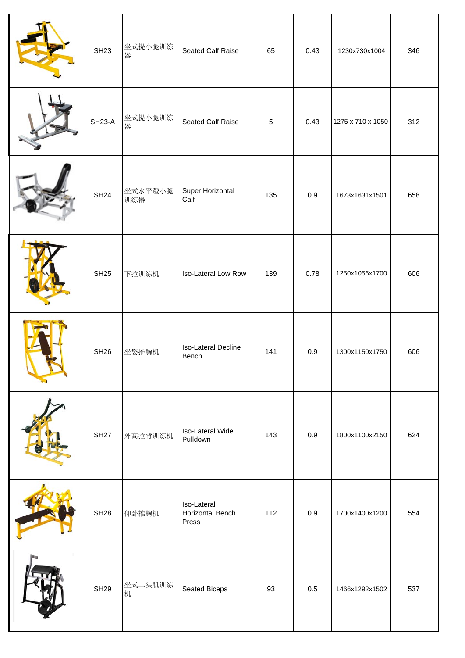| <b>SH23</b>   | 坐式提小腿训练<br>器   | <b>Seated Calf Raise</b>                 | 65         | 0.43 | 1230x730x1004     | 346 |
|---------------|----------------|------------------------------------------|------------|------|-------------------|-----|
| <b>SH23-A</b> | 坐式提小腿训练<br>器   | <b>Seated Calf Raise</b>                 | $\sqrt{5}$ | 0.43 | 1275 x 710 x 1050 | 312 |
| <b>SH24</b>   | 坐式水平蹬小腿<br>训练器 | Super Horizontal<br>Calf                 | 135        | 0.9  | 1673x1631x1501    | 658 |
| <b>SH25</b>   | 下拉训练机          | Iso-Lateral Low Row                      | 139        | 0.78 | 1250x1056x1700    | 606 |
| <b>SH26</b>   | 坐姿推胸机          | <b>Iso-Lateral Decline</b><br>Bench      | 141        | 0.9  | 1300x1150x1750    | 606 |
| <b>SH27</b>   | 外高拉背训练机        | Iso-Lateral Wide<br>Pulldown             | 143        | 0.9  | 1800x1100x2150    | 624 |
| <b>SH28</b>   | 仰卧推胸机          | Iso-Lateral<br>Horizontal Bench<br>Press | 112        | 0.9  | 1700x1400x1200    | 554 |
| <b>SH29</b>   | 坐式二头肌训练<br>机   | Seated Biceps                            | 93         | 0.5  | 1466x1292x1502    | 537 |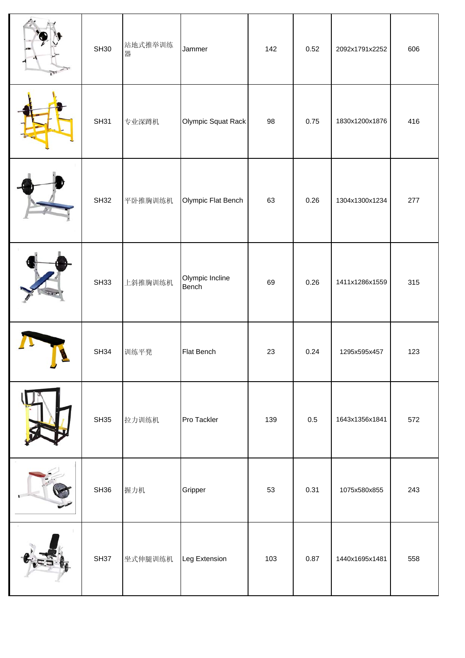| <b>SH30</b>      | 站地式推举训练<br>器 | Jammer                   | 142 | 0.52 | 2092x1791x2252 | 606 |
|------------------|--------------|--------------------------|-----|------|----------------|-----|
| <b>SH31</b>      | 专业深蹲机        | Olympic Squat Rack       | 98  | 0.75 | 1830x1200x1876 | 416 |
| <b>SH32</b>      | 平卧推胸训练机      | Olympic Flat Bench       | 63  | 0.26 | 1304x1300x1234 | 277 |
| <b>SH33</b>      | 上斜推胸训练机      | Olympic Incline<br>Bench | 69  | 0.26 | 1411x1286x1559 | 315 |
| <b>SH34</b>      | 训练平凳         | <b>Flat Bench</b>        | 23  | 0.24 | 1295x595x457   | 123 |
| SH35             | 拉力训练机        | Pro Tackler              | 139 | 0.5  | 1643x1356x1841 | 572 |
| SH36             | 握力机          | Gripper                  | 53  | 0.31 | 1075x580x855   | 243 |
| SH <sub>37</sub> | 坐式伸腿训练机      | Leg Extension            | 103 | 0.87 | 1440x1695x1481 | 558 |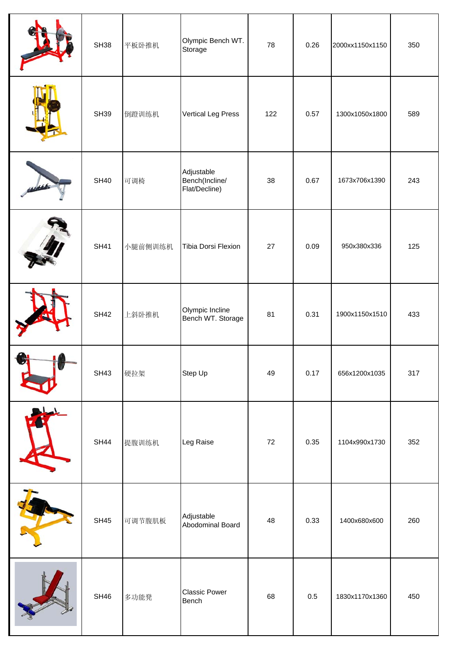| <b>SH38</b> | 平板卧推机   | Olympic Bench WT.<br>Storage                  | 78  | 0.26    | 2000xx1150x1150 | 350 |
|-------------|---------|-----------------------------------------------|-----|---------|-----------------|-----|
| <b>SH39</b> | 倒蹬训练机   | <b>Vertical Leg Press</b>                     | 122 | 0.57    | 1300x1050x1800  | 589 |
| <b>SH40</b> | 可调椅     | Adjustable<br>Bench(Incline/<br>Flat/Decline) | 38  | 0.67    | 1673x706x1390   | 243 |
| <b>SH41</b> | 小腿前侧训练机 | Tibia Dorsi Flexion                           | 27  | 0.09    | 950x380x336     | 125 |
| <b>SH42</b> | 上斜卧推机   | Olympic Incline<br>Bench WT. Storage          | 81  | 0.31    | 1900x1150x1510  | 433 |
| <b>SH43</b> | 硬拉架     | Step Up                                       | 49  | 0.17    | 656x1200x1035   | 317 |
| <b>SH44</b> | 提腹训练机   | Leg Raise                                     | 72  | 0.35    | 1104x990x1730   | 352 |
| <b>SH45</b> | 可调节腹肌板  | Adjustable<br>Abodominal Board                | 48  | 0.33    | 1400x680x600    | 260 |
| <b>SH46</b> | 多功能凳    | <b>Classic Power</b><br>Bench                 | 68  | $0.5\,$ | 1830x1170x1360  | 450 |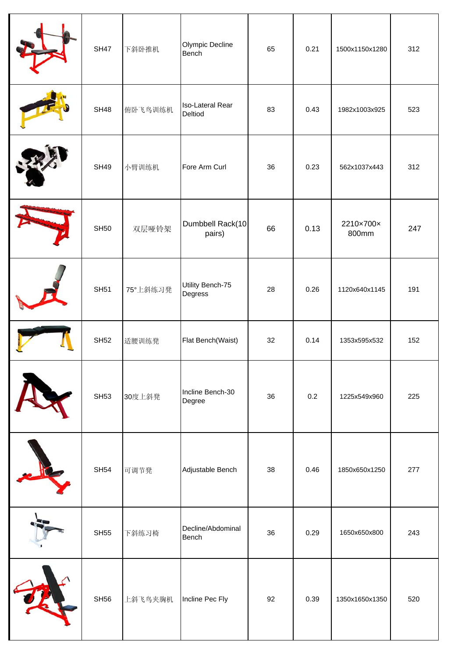| <b>SH47</b> | 下斜卧推机    | Olympic Decline<br>Bench           | 65 | 0.21 | 1500x1150x1280     | 312 |
|-------------|----------|------------------------------------|----|------|--------------------|-----|
| <b>SH48</b> | 俯卧飞鸟训练机  | <b>Iso-Lateral Rear</b><br>Deltiod | 83 | 0.43 | 1982x1003x925      | 523 |
| <b>SH49</b> | 小臂训练机    | Fore Arm Curl                      | 36 | 0.23 | 562x1037x443       | 312 |
| <b>SH50</b> | 双层哑铃架    | Dumbbell Rack(10<br>pairs)         | 66 | 0.13 | 2210×700×<br>800mm | 247 |
| <b>SH51</b> | 75°上斜练习凳 | Utility Bench-75<br>Degress        | 28 | 0.26 | 1120x640x1145      | 191 |
| <b>SH52</b> | 适腰训练凳    | Flat Bench(Waist)                  | 32 | 0.14 | 1353x595x532       | 152 |
| <b>SH53</b> | 30度上斜凳   | Incline Bench-30<br>Degree         | 36 | 0.2  | 1225x549x960       | 225 |
| <b>SH54</b> | 可调节凳     | Adjustable Bench                   | 38 | 0.46 | 1850x650x1250      | 277 |
| <b>SH55</b> | 下斜练习椅    | Decline/Abdominal<br><b>Bench</b>  | 36 | 0.29 | 1650x650x800       | 243 |
| <b>SH56</b> | 上斜飞鸟夹胸机  | Incline Pec Fly                    | 92 | 0.39 | 1350x1650x1350     | 520 |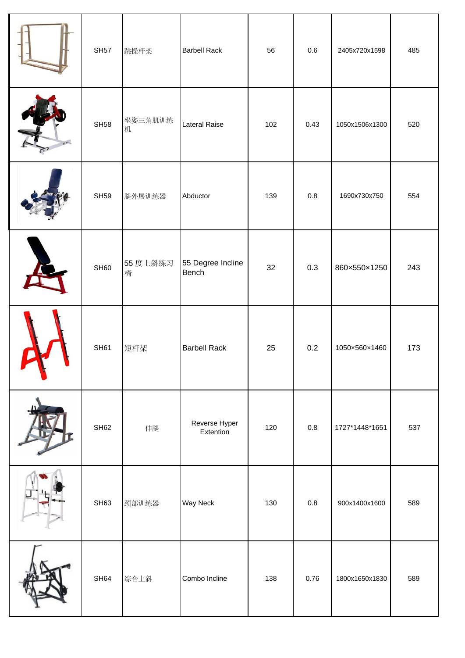| <b>SH57</b>      | 跳操杆架          | <b>Barbell Rack</b>        | 56  | 0.6     | 2405x720x1598  | 485 |
|------------------|---------------|----------------------------|-----|---------|----------------|-----|
| <b>SH58</b>      | 坐姿三角肌训练<br>机  | <b>Lateral Raise</b>       | 102 | 0.43    | 1050x1506x1300 | 520 |
| <b>SH59</b>      | 腿外展训练器        | Abductor                   | 139 | $0.8\,$ | 1690x730x750   | 554 |
| SH60             | 55 度上斜练习<br>椅 | 55 Degree Incline<br>Bench | 32  | 0.3     | 860×550×1250   | 243 |
| <b>SH61</b>      | 短杆架           | <b>Barbell Rack</b>        | 25  | 0.2     | 1050×560×1460  | 173 |
| SH <sub>62</sub> | 伸腿            | Reverse Hyper<br>Extention | 120 | $0.8\,$ | 1727*1448*1651 | 537 |
| SH63             | 颈部训练器         | Way Neck                   | 130 | $0.8\,$ | 900x1400x1600  | 589 |
| SH64             | 综合上斜          | Combo Incline              | 138 | 0.76    | 1800x1650x1830 | 589 |